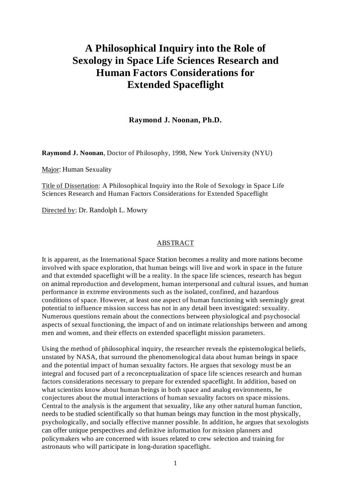## **A Philosophical Inquiry into the Role of Sexology in Space Life Sciences Research and Human Factors Considerations for Extended Spaceflight**

**Raymond J. Noonan, Ph.D.**

Raymond J. Noonan, Doctor of Philosophy, 1998, New York University (NYU)

Major: Human Sexuality

Title of Dissertation: A Philosophical Inquiry into the Role of Sexology in Space Life Sciences Research and Human Factors Considerations for Extended Spaceflight

Directed by: Dr. Randolph L. Mowry

## ABSTRACT

It is apparent, as the International Space Station becomes a reality and more nations become involved with space exploration, that human beings will live and work in space in the future and that extended spaceflight will be a reality. In the space life sciences, research has begun on animal reproduction and development, human interpersonal and cultural issues, and human performance in extreme environments such as the isolated, confined, and hazardous conditions of space. However, at least one aspect of human functioning with seemingly great potential to influence mission success has not in any detail been investigated: sexuality. Numerous questions remain about the connections between physiological and psychosocial aspects of sexual functioning, the impact of and on intimate relationships between and among men and women, and their effects on extended spaceflight mission parameters.

Using the method of philosophical inquiry, the researcher reveals the epistemological beliefs, unstated by NASA, that surround the phenomenological data about human beings in space and the potential impact of human sexuality factors. He argues that sexology must be an integral and focused part of a reconceptualization of space life sciences research and human factors considerations necessary to prepare for extended spaceflight. In addition, based on what scientists know about human beings in both space and analog environments, he conjectures about the mutual interactions of human sexuality factors on space missions. Central to the analysis is the argument that sexuality, like any other natural human function, needs to be studied scientifically so that human beings may function in the most physically, psychologically, and socially effective manner possible. In addition, he argues that sexologists can offer unique perspectives and definitive information for mission planners and policymakers who are concerned with issues related to crew selection and training for astronauts who will participate in long-duration spaceflight.